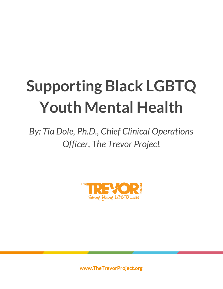## **Supporting Black LGBTQ Youth Mental Health**

*By: Tia Dole, Ph.D., Chief Clinical Operations Officer, The Trevor Project*



**www.TheTrevorProject.org**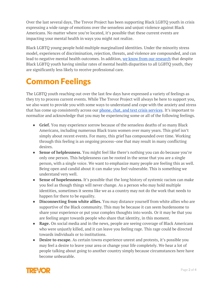Over the last several days, The Trevor Project has been supporting Black LGBTQ youth in crisis expressing a wide range of emotions over the senseless and unjust violence against Black Americans. No matter where you're located, it's possible that these current events are impacting your mental health in ways you might not realize.

Black LGBTQ young people hold multiple marginalized identities. Under the minority stress model, experiences of discrimination, rejection, threats, and violence are compounded, and can lead to negative mental health outcomes. In addition, we know from our [research](https://www.thetrevorproject.org/2020/02/13/research-brief-black-lgbtq-youth-mental-health/) that despite Black LGBTQ youth having similar rates of mental health disparities to all LGBTQ youth, they are significantly less likely to receive professional care.

## Common Feelings

The LGBTQ youth reaching out over the last few days have expressed a variety of feelings as they try to process current events. While The Trevor Project will always be here to support you, we also want to provide you with some ways to understand and cope with the anxiety and stress that has come up consistently across our phone, chat, and text crisis [services](http://thetrevorproject.org/help). It's important to normalize and acknowledge that you may be experiencing some or all of the following feelings.

- **Grief.** You may experience sorrow because of the senseless deaths of so many Black Americans, including numerous Black trans women over many years. This grief isn't simply about recent events. For many, this grief has compounded over time. Working through this feeling is an ongoing process–one that may result in many conflicting desires.
- **Sense of helplessness.** You might feel like there's nothing you can do because you're only one person. This helplessness can be rooted in the sense that you are a single person, with a single voice. We want to emphasize many people are feeling this as well. Being open and candid about it can make you feel vulnerable. This is something we understand very well.
- **Sense of hopelessness.** It's possible that the long history of systemic racism can make you feel as though things will never change. As a person who may hold multiple identities, sometimes it seems like we as a country may not do the work that needs to happen for there to be equality.
- **Disconnecting from white allies.** You may distance yourself from white allies who are supportive of the Black community. This may be because it can seem burdensome to share your experience or put your complex thoughts into words. Or it may be that you are feeling anger towards people who share that identity, in this moment.
- **Rage.** On social media and in the news, people are seeing coverage of Black Americans who were unjustly killed, and it can leave you feeling rage. This rage could be directed towards individuals or to institutions.
- **Desire to escape.** As certain towns experience unrest and protests, it's possible you may feel a desire to leave your area or change your life completely. We hear a lot of people talking about going to another country simply because circumstances here have become unbearable.

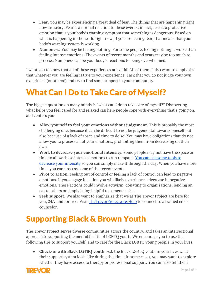- **Fear.** You may be experiencing a great deal of fear. The things that are happening right now are scary. Fear is a normal reaction to these events; in fact, fear is a protective emotion that is your body's warning symptom that something is dangerous. Based on what is happening in the world right now, if you are feeling fear, that means that your body's warning system is working.
- **Numbness.** You may be feeling nothing. For some people, feeling nothing is worse than feeling intense emotions. The events of recent months and years may be too much to process. Numbness can be your body's reactions to being overwhelmed.

I want you to know that all of these experiences are valid. All of them. I also want to emphasize that whatever you are feeling is true to your experience. I ask that you do not judge your own experience (or others!) and try to find some support in your community.

## What Can I Do to Take Care of Myself?

The biggest question on many minds is "what can I do to take care of myself?" Discovering what helps you feel cared for and relaxed can help people cope with everything that's going on, and centers you.

- **Allow yourself to feel your emotions without judgement.** This is probably the most challenging one, because it can be difficult to not be judgemental towards oneself but also because of a lack of space and time to do so. You may have obligations that do not allow you to process all of your emotions, prohibiting them from decreasing on their own.
- **Work to decrease your emotional intensity.** Some people may not have the space or time to allow these intense emotions to run rampant. You can use [some](https://www.thetrevorproject.org/2020/03/26/how-lgbtq-youth-can-cope-with-anxiety-and-stress-during-covid-19/) tools to decrease your [intensity](https://www.thetrevorproject.org/2020/03/26/how-lgbtq-youth-can-cope-with-anxiety-and-stress-during-covid-19/) so you can simply make it through the day. When you have more time, you can process some of the recent events.
- **Pivot to action.** Feeling out of control or feeling a lack of control can lead to negative emotions. If you engage in action you will likely experience a decrease in negative emotions. These actions could involve activism, donating to organizations, lending an ear to others or simply being helpful to someone else.
- **Seek support.** We also want to emphasize that we at The Trevor Project are here for you, 24/7 and for free. Visit [TheTrevorProject.org/Help](http://www.thetrevorproject.org/Help) to connect to a trained crisis counselor.

## Supporting Black & Brown Youth

The Trevor Project serves diverse communities across the country, and takes an intersectional approach to supporting the mental health of LGBTQ youth. We encourage you to use the following tips to support yourself, and to care for the Black LGBTQ young people in your lives.

● **Check-in with Black LGTBQ youth.** Ask the Black LGBTQ youth in your lives what their support system looks like during this time. In some cases, you may want to explore whether they have access to therapy or professional support. You can also tell them